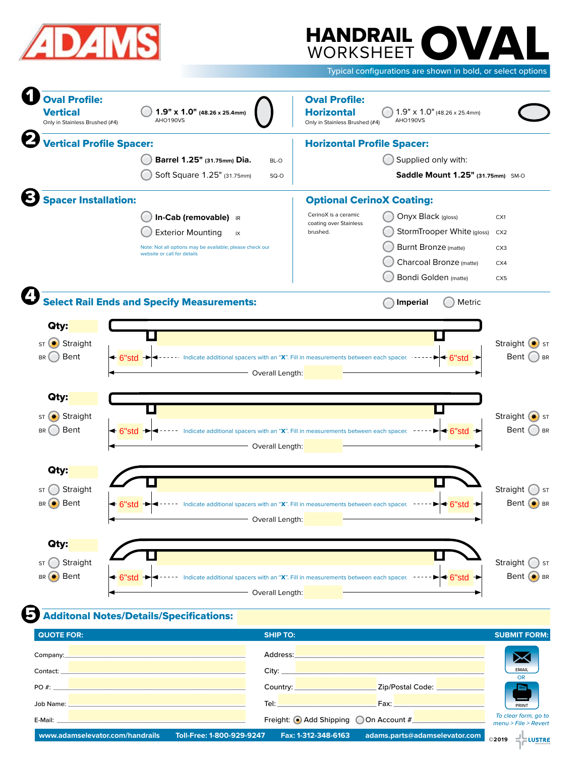

## **ANDRAIL COMANDRAIL**<br>
Typical configurations are shown in bold, or select options HANDRAIL WORKSHEET